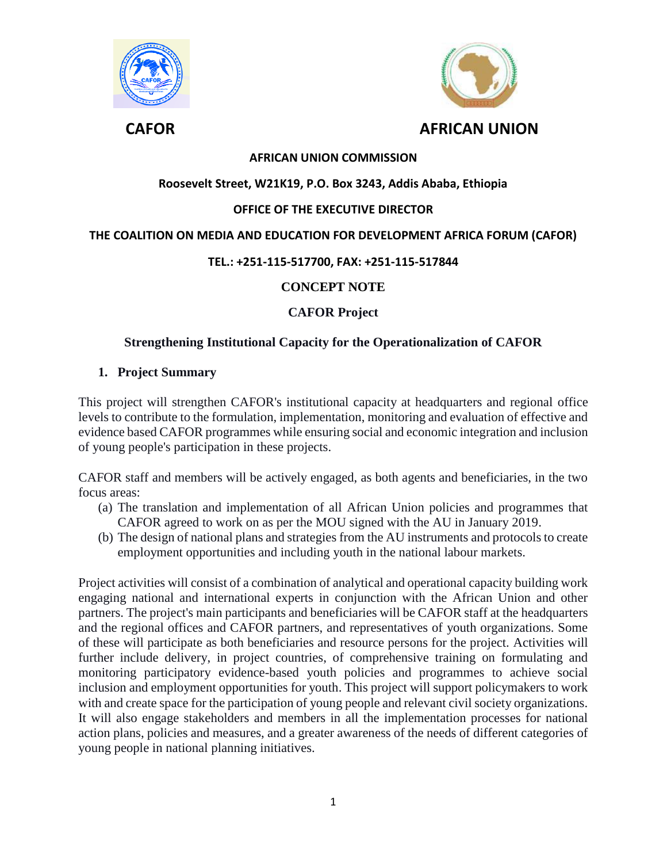



## **AFRICAN UNION COMMISSION**

## **Roosevelt Street, W21K19, P.O. Box 3243, Addis Ababa, Ethiopia**

## **OFFICE OF THE EXECUTIVE DIRECTOR**

#### **THE COALITION ON MEDIA AND EDUCATION FOR DEVELOPMENT AFRICA FORUM (CAFOR)**

#### **TEL.: +251-115-517700, FAX: +251-115-517844**

## **CONCEPT NOTE**

## **CAFOR Project**

#### **Strengthening Institutional Capacity for the Operationalization of CAFOR**

#### **1. Project Summary**

This project will strengthen CAFOR's institutional capacity at headquarters and regional office levels to contribute to the formulation, implementation, monitoring and evaluation of effective and evidence based CAFOR programmes while ensuring social and economic integration and inclusion of young people's participation in these projects.

CAFOR staff and members will be actively engaged, as both agents and beneficiaries, in the two focus areas:

- (a) The translation and implementation of all African Union policies and programmes that CAFOR agreed to work on as per the MOU signed with the AU in January 2019.
- (b) The design of national plans and strategies from the AU instruments and protocols to create employment opportunities and including youth in the national labour markets.

Project activities will consist of a combination of analytical and operational capacity building work engaging national and international experts in conjunction with the African Union and other partners. The project's main participants and beneficiaries will be CAFOR staff at the headquarters and the regional offices and CAFOR partners, and representatives of youth organizations. Some of these will participate as both beneficiaries and resource persons for the project. Activities will further include delivery, in project countries, of comprehensive training on formulating and monitoring participatory evidence-based youth policies and programmes to achieve social inclusion and employment opportunities for youth. This project will support policymakers to work with and create space for the participation of young people and relevant civil society organizations. It will also engage stakeholders and members in all the implementation processes for national action plans, policies and measures, and a greater awareness of the needs of different categories of young people in national planning initiatives.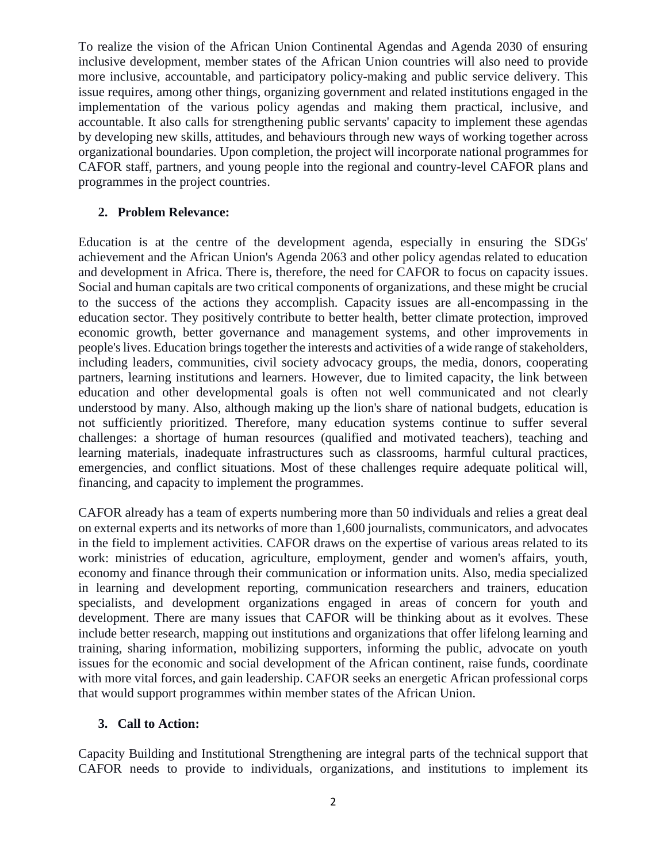To realize the vision of the African Union Continental Agendas and Agenda 2030 of ensuring inclusive development, member states of the African Union countries will also need to provide more inclusive, accountable, and participatory policy-making and public service delivery. This issue requires, among other things, organizing government and related institutions engaged in the implementation of the various policy agendas and making them practical, inclusive, and accountable. It also calls for strengthening public servants' capacity to implement these agendas by developing new skills, attitudes, and behaviours through new ways of working together across organizational boundaries. Upon completion, the project will incorporate national programmes for CAFOR staff, partners, and young people into the regional and country-level CAFOR plans and programmes in the project countries.

#### **2. Problem Relevance:**

Education is at the centre of the development agenda, especially in ensuring the SDGs' achievement and the African Union's Agenda 2063 and other policy agendas related to education and development in Africa. There is, therefore, the need for CAFOR to focus on capacity issues. Social and human capitals are two critical components of organizations, and these might be crucial to the success of the actions they accomplish. Capacity issues are all-encompassing in the education sector. They positively contribute to better health, better climate protection, improved economic growth, better governance and management systems, and other improvements in people's lives. Education brings together the interests and activities of a wide range of stakeholders, including leaders, communities, civil society advocacy groups, the media, donors, cooperating partners, learning institutions and learners. However, due to limited capacity, the link between education and other developmental goals is often not well communicated and not clearly understood by many. Also, although making up the lion's share of national budgets, education is not sufficiently prioritized. Therefore, many education systems continue to suffer several challenges: a shortage of human resources (qualified and motivated teachers), teaching and learning materials, inadequate infrastructures such as classrooms, harmful cultural practices, emergencies, and conflict situations. Most of these challenges require adequate political will, financing, and capacity to implement the programmes.

CAFOR already has a team of experts numbering more than 50 individuals and relies a great deal on external experts and its networks of more than 1,600 journalists, communicators, and advocates in the field to implement activities. CAFOR draws on the expertise of various areas related to its work: ministries of education, agriculture, employment, gender and women's affairs, youth, economy and finance through their communication or information units. Also, media specialized in learning and development reporting, communication researchers and trainers, education specialists, and development organizations engaged in areas of concern for youth and development. There are many issues that CAFOR will be thinking about as it evolves. These include better research, mapping out institutions and organizations that offer lifelong learning and training, sharing information, mobilizing supporters, informing the public, advocate on youth issues for the economic and social development of the African continent, raise funds, coordinate with more vital forces, and gain leadership. CAFOR seeks an energetic African professional corps that would support programmes within member states of the African Union.

## **3. Call to Action:**

Capacity Building and Institutional Strengthening are integral parts of the technical support that CAFOR needs to provide to individuals, organizations, and institutions to implement its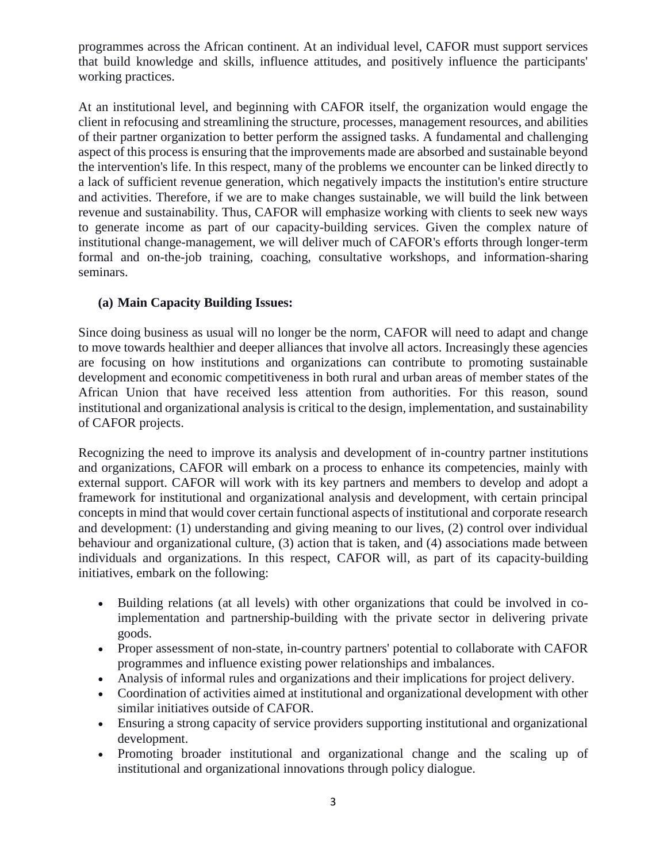programmes across the African continent. At an individual level, CAFOR must support services that build knowledge and skills, influence attitudes, and positively influence the participants' working practices.

At an institutional level, and beginning with CAFOR itself, the organization would engage the client in refocusing and streamlining the structure, processes, management resources, and abilities of their partner organization to better perform the assigned tasks. A fundamental and challenging aspect of this process is ensuring that the improvements made are absorbed and sustainable beyond the intervention's life. In this respect, many of the problems we encounter can be linked directly to a lack of sufficient revenue generation, which negatively impacts the institution's entire structure and activities. Therefore, if we are to make changes sustainable, we will build the link between revenue and sustainability. Thus, CAFOR will emphasize working with clients to seek new ways to generate income as part of our capacity-building services. Given the complex nature of institutional change-management, we will deliver much of CAFOR's efforts through longer-term formal and on-the-job training, coaching, consultative workshops, and information-sharing seminars.

## **(a) Main Capacity Building Issues:**

Since doing business as usual will no longer be the norm, CAFOR will need to adapt and change to move towards healthier and deeper alliances that involve all actors. Increasingly these agencies are focusing on how institutions and organizations can contribute to promoting sustainable development and economic competitiveness in both rural and urban areas of member states of the African Union that have received less attention from authorities. For this reason, sound institutional and organizational analysis is critical to the design, implementation, and sustainability of CAFOR projects.

Recognizing the need to improve its analysis and development of in-country partner institutions and organizations, CAFOR will embark on a process to enhance its competencies, mainly with external support. CAFOR will work with its key partners and members to develop and adopt a framework for institutional and organizational analysis and development, with certain principal concepts in mind that would cover certain functional aspects of institutional and corporate research and development: (1) understanding and giving meaning to our lives, (2) control over individual behaviour and organizational culture, (3) action that is taken, and (4) associations made between individuals and organizations. In this respect, CAFOR will, as part of its capacity-building initiatives, embark on the following:

- Building relations (at all levels) with other organizations that could be involved in coimplementation and partnership-building with the private sector in delivering private goods.
- Proper assessment of non-state, in-country partners' potential to collaborate with CAFOR programmes and influence existing power relationships and imbalances.
- Analysis of informal rules and organizations and their implications for project delivery.
- Coordination of activities aimed at institutional and organizational development with other similar initiatives outside of CAFOR.
- Ensuring a strong capacity of service providers supporting institutional and organizational development.
- Promoting broader institutional and organizational change and the scaling up of institutional and organizational innovations through policy dialogue.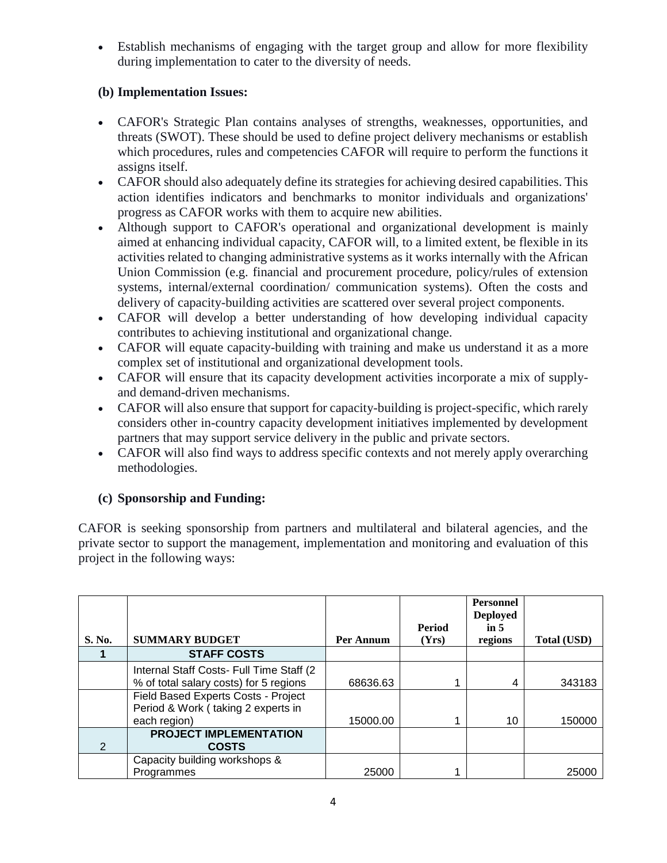Establish mechanisms of engaging with the target group and allow for more flexibility during implementation to cater to the diversity of needs.

## **(b) Implementation Issues:**

- CAFOR's Strategic Plan contains analyses of strengths, weaknesses, opportunities, and threats (SWOT). These should be used to define project delivery mechanisms or establish which procedures, rules and competencies CAFOR will require to perform the functions it assigns itself.
- CAFOR should also adequately define its strategies for achieving desired capabilities. This action identifies indicators and benchmarks to monitor individuals and organizations' progress as CAFOR works with them to acquire new abilities.
- Although support to CAFOR's operational and organizational development is mainly aimed at enhancing individual capacity, CAFOR will, to a limited extent, be flexible in its activities related to changing administrative systems as it works internally with the African Union Commission (e.g. financial and procurement procedure, policy/rules of extension systems, internal/external coordination/ communication systems). Often the costs and delivery of capacity-building activities are scattered over several project components.
- CAFOR will develop a better understanding of how developing individual capacity contributes to achieving institutional and organizational change.
- CAFOR will equate capacity-building with training and make us understand it as a more complex set of institutional and organizational development tools.
- CAFOR will ensure that its capacity development activities incorporate a mix of supplyand demand-driven mechanisms.
- CAFOR will also ensure that support for capacity-building is project-specific, which rarely considers other in-country capacity development initiatives implemented by development partners that may support service delivery in the public and private sectors.
- CAFOR will also find ways to address specific contexts and not merely apply overarching methodologies.

# **(c) Sponsorship and Funding:**

CAFOR is seeking sponsorship from partners and multilateral and bilateral agencies, and the private sector to support the management, implementation and monitoring and evaluation of this project in the following ways:

|        |                                               |           | <b>Period</b> | <b>Personnel</b><br><b>Deployed</b><br>in $5$ |                    |
|--------|-----------------------------------------------|-----------|---------------|-----------------------------------------------|--------------------|
| S. No. | <b>SUMMARY BUDGET</b>                         | Per Annum | (Yrs)         | regions                                       | <b>Total (USD)</b> |
|        | <b>STAFF COSTS</b>                            |           |               |                                               |                    |
|        | Internal Staff Costs- Full Time Staff (2)     |           |               |                                               |                    |
|        | % of total salary costs) for 5 regions        | 68636.63  |               | 4                                             | 343183             |
|        | Field Based Experts Costs - Project           |           |               |                                               |                    |
|        | Period & Work (taking 2 experts in            |           |               |                                               |                    |
|        | each region)                                  | 15000.00  |               | 10                                            | 150000             |
| 2      | <b>PROJECT IMPLEMENTATION</b><br><b>COSTS</b> |           |               |                                               |                    |
|        | Capacity building workshops &                 |           |               |                                               |                    |
|        | Programmes                                    | 25000     |               |                                               | 25000              |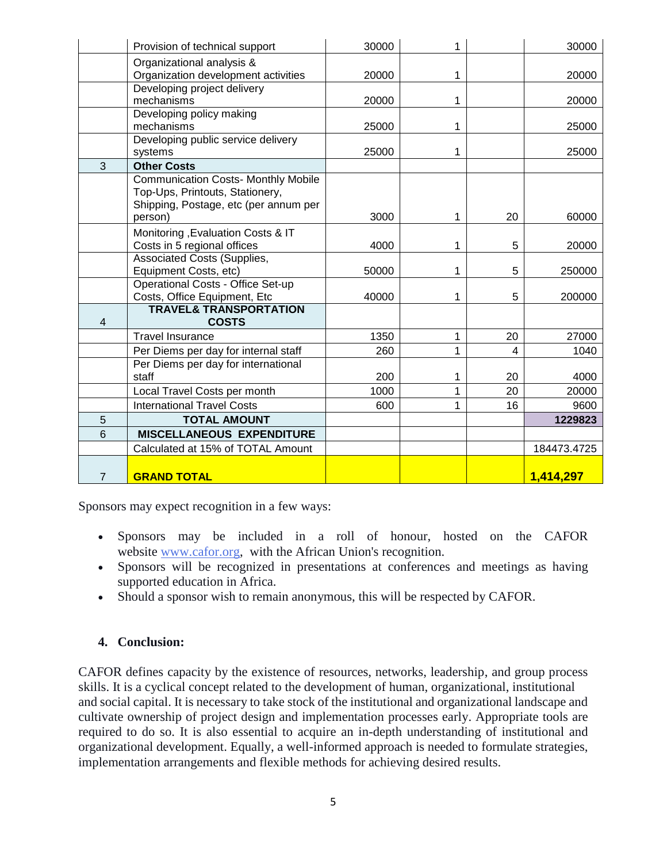|                | Provision of technical support                                           | 30000 | 1 |    | 30000       |
|----------------|--------------------------------------------------------------------------|-------|---|----|-------------|
|                | Organizational analysis &                                                |       |   |    |             |
|                | Organization development activities                                      | 20000 | 1 |    | 20000       |
|                | Developing project delivery                                              |       |   |    |             |
|                | mechanisms<br>Developing policy making                                   | 20000 | 1 |    | 20000       |
|                | mechanisms                                                               | 25000 | 1 |    | 25000       |
|                | Developing public service delivery                                       |       |   |    |             |
|                | systems                                                                  | 25000 | 1 |    | 25000       |
| 3              | <b>Other Costs</b>                                                       |       |   |    |             |
|                | <b>Communication Costs- Monthly Mobile</b>                               |       |   |    |             |
|                | Top-Ups, Printouts, Stationery,<br>Shipping, Postage, etc (per annum per |       |   |    |             |
|                | person)                                                                  | 3000  | 1 | 20 | 60000       |
|                | Monitoring , Evaluation Costs & IT                                       |       |   |    |             |
|                | Costs in 5 regional offices                                              | 4000  | 1 | 5  | 20000       |
|                | Associated Costs (Supplies,                                              |       |   |    |             |
|                | Equipment Costs, etc)                                                    | 50000 | 1 | 5  | 250000      |
|                | Operational Costs - Office Set-up                                        |       |   |    |             |
|                | Costs, Office Equipment, Etc                                             | 40000 | 1 | 5  | 200000      |
| 4              | <b>TRAVEL&amp; TRANSPORTATION</b><br><b>COSTS</b>                        |       |   |    |             |
|                | <b>Travel Insurance</b>                                                  | 1350  | 1 | 20 | 27000       |
|                | Per Diems per day for internal staff                                     | 260   | 1 | 4  | 1040        |
|                | Per Diems per day for international                                      |       |   |    |             |
|                | staff                                                                    | 200   | 1 | 20 | 4000        |
|                | Local Travel Costs per month                                             | 1000  | 1 | 20 | 20000       |
|                | <b>International Travel Costs</b>                                        | 600   | 1 | 16 | 9600        |
| 5              | <b>TOTAL AMOUNT</b>                                                      |       |   |    | 1229823     |
| 6              | <b>MISCELLANEOUS EXPENDITURE</b>                                         |       |   |    |             |
|                | Calculated at 15% of TOTAL Amount                                        |       |   |    | 184473.4725 |
| $\overline{7}$ | <b>GRAND TOTAL</b>                                                       |       |   |    | 1,414,297   |

Sponsors may expect recognition in a few ways:

- Sponsors may be included in a roll of honour, hosted on the CAFOR website [www.cafor.org,](http://www.cafor.org/) with the African Union's recognition.
- Sponsors will be recognized in presentations at conferences and meetings as having supported education in Africa.
- Should a sponsor wish to remain anonymous, this will be respected by CAFOR.

## **4. Conclusion:**

CAFOR defines capacity by the existence of resources, networks, leadership, and group process skills. It is a cyclical concept related to the development of human, organizational, institutional and social capital. It is necessary to take stock of the institutional and organizational landscape and cultivate ownership of project design and implementation processes early. Appropriate tools are required to do so. It is also essential to acquire an in-depth understanding of institutional and organizational development. Equally, a well-informed approach is needed to formulate strategies, implementation arrangements and flexible methods for achieving desired results.